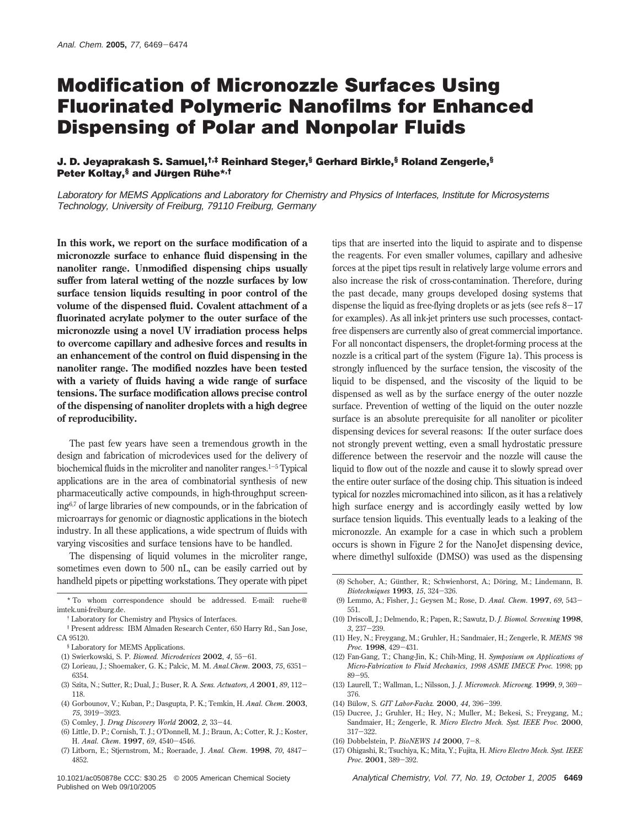# **Modification of Micronozzle Surfaces Using Fluorinated Polymeric Nanofilms for Enhanced Dispensing of Polar and Nonpolar Fluids**

## **J. D. Jeyaprakash S. Samuel,†,‡ Reinhard Steger,§ Gerhard Birkle,§ Roland Zengerle,§ Peter Koltay, <sup>§</sup> and Jürgen Rühe\*,†**

Laboratory for MEMS Applications and Laboratory for Chemistry and Physics of Interfaces, Institute for Microsystems Technology, University of Freiburg, 79110 Freiburg, Germany

**In this work, we report on the surface modification of a micronozzle surface to enhance fluid dispensing in the nanoliter range. Unmodified dispensing chips usually suffer from lateral wetting of the nozzle surfaces by low surface tension liquids resulting in poor control of the volume of the dispensed fluid. Covalent attachment of a fluorinated acrylate polymer to the outer surface of the micronozzle using a novel UV irradiation process helps to overcome capillary and adhesive forces and results in an enhancement of the control on fluid dispensing in the nanoliter range. The modified nozzles have been tested with a variety of fluids having a wide range of surface tensions. The surface modification allows precise control of the dispensing of nanoliter droplets with a high degree of reproducibility.**

The past few years have seen a tremendous growth in the design and fabrication of microdevices used for the delivery of biochemical fluids in the microliter and nanoliter ranges.1-<sup>5</sup> Typical applications are in the area of combinatorial synthesis of new pharmaceutically active compounds, in high-throughput screening6,7 of large libraries of new compounds, or in the fabrication of microarrays for genomic or diagnostic applications in the biotech industry. In all these applications, a wide spectrum of fluids with varying viscosities and surface tensions have to be handled.

The dispensing of liquid volumes in the microliter range, sometimes even down to 500 nL, can be easily carried out by handheld pipets or pipetting workstations. They operate with pipet

- § Laboratory for MEMS Applications.
- (1) Swierkowski, S. P. *Biomed. Microdevices* **<sup>2002</sup>**, *<sup>4</sup>*, 55-61.
- (2) Lorieau, J.; Shoemaker, G. K.; Palcic, M. M. *Anal.Chem*. **<sup>2003</sup>**, *<sup>75</sup>*, 6351- 6354.
- (3) Szita, N.; Sutter, R.; Dual, J.; Buser, R. A. *Sens. Actuators, A* **<sup>2001</sup>**, *<sup>89</sup>*, 112- 118.
- (4) Gorbounov, V.; Kuban, P.; Dasgupta, P. K.; Temkin, H. *Anal. Chem*. **2003**, *<sup>75</sup>*, 3919-3923.
- (5) Comley, J. *Drug Discovery World* **<sup>2002</sup>**, *<sup>2</sup>*, 33-44.
- (6) Little, D. P.; Cornish, T. J.; O'Donnell, M. J.; Braun, A.; Cotter, R. J.; Koster, H. *Anal. Chem*. **<sup>1997</sup>**, *<sup>69</sup>*, 4540-4546.
- (7) Litborn, E.; Stjernstrom, M.; Roeraade, J. *Anal. Chem*. **<sup>1998</sup>**, *<sup>70</sup>*, 4847- 4852.

10.1021/ac050878e CCC: \$30.25 © 2005 American Chemical Society Analytical Chemistry, Vol. 77, No. 19, October 1, 2005 **6469** Published on Web 09/10/2005

tips that are inserted into the liquid to aspirate and to dispense the reagents. For even smaller volumes, capillary and adhesive forces at the pipet tips result in relatively large volume errors and also increase the risk of cross-contamination. Therefore, during the past decade, many groups developed dosing systems that dispense the liquid as free-flying droplets or as jets (see refs  $8-17$ ) for examples). As all ink-jet printers use such processes, contactfree dispensers are currently also of great commercial importance. For all noncontact dispensers, the droplet-forming process at the nozzle is a critical part of the system (Figure 1a). This process is strongly influenced by the surface tension, the viscosity of the liquid to be dispensed, and the viscosity of the liquid to be dispensed as well as by the surface energy of the outer nozzle surface. Prevention of wetting of the liquid on the outer nozzle surface is an absolute prerequisite for all nanoliter or picoliter dispensing devices for several reasons: If the outer surface does not strongly prevent wetting, even a small hydrostatic pressure difference between the reservoir and the nozzle will cause the liquid to flow out of the nozzle and cause it to slowly spread over the entire outer surface of the dosing chip. This situation is indeed typical for nozzles micromachined into silicon, as it has a relatively high surface energy and is accordingly easily wetted by low surface tension liquids. This eventually leads to a leaking of the micronozzle. An example for a case in which such a problem occurs is shown in Figure 2 for the NanoJet dispensing device, where dimethyl sulfoxide (DMSO) was used as the dispensing

- (9) Lemmo, A.; Fisher, J.; Geysen M.; Rose, D. *Anal. Chem*. **<sup>1997</sup>**, *<sup>69</sup>*, 543- 551.
- (10) Driscoll, J.; Delmendo, R.; Papen, R.; Sawutz, D. *J. Biomol. Screening* **1998**, *<sup>3</sup>*, 237-239.
- (11) Hey, N.; Freygang, M.; Gruhler, H.; Sandmaier, H.; Zengerle, R. *MEMS '98 Proc.* **<sup>1998</sup>**, 429-431.
- (12) Fan-Gang, T.; Chang-Jin, K.; Chih-Ming, H. *Symposium on Applications of Micro-Fabrication to Fluid Mechanics, 1998 ASME IMECE Proc.* 1998; pp <sup>89</sup>-95.
- (13) Laurell, T.; Wallman, L.; Nilsson, J. *J. Micromech. Microeng.* **<sup>1999</sup>**, *<sup>9</sup>*, 369- 376.
- (14) Bu¨low, S. *GIT Labor-Fachz.* **<sup>2000</sup>**, *<sup>44</sup>*, 396-399.
- (15) Ducree, J.; Gruhler, H.; Hey, N.; Muller, M.; Bekesi, S.; Freygang, M.; Sandmaier, H.; Zengerle, R. *Micro Electro Mech. Syst. IEEE Proc.* **2000**, <sup>317</sup>-322.
- (16) Dobbelstein, P. *BioNEWS 14* **<sup>2000</sup>**, 7-8.
- (17) Ohigashi, R.; Tsuchiya, K.; Mita, Y.; Fujita, H. *Micro Electro Mech. Syst. IEEE Proc*. **<sup>2001</sup>**, 389-392.

<sup>\*</sup> To whom correspondence should be addressed. E-mail: ruehe@ imtek.uni-freiburg.de.

<sup>†</sup> Laboratory for Chemistry and Physics of Interfaces.

<sup>‡</sup> Present address: IBM Almaden Research Center, 650 Harry Rd., San Jose, CA 95120.

<sup>(8)</sup> Schober, A.; Günther, R.; Schwienhorst, A.; Döring, M.; Lindemann, B. *Biotechniques* **<sup>1993</sup>**, *<sup>15</sup>*, 324-326.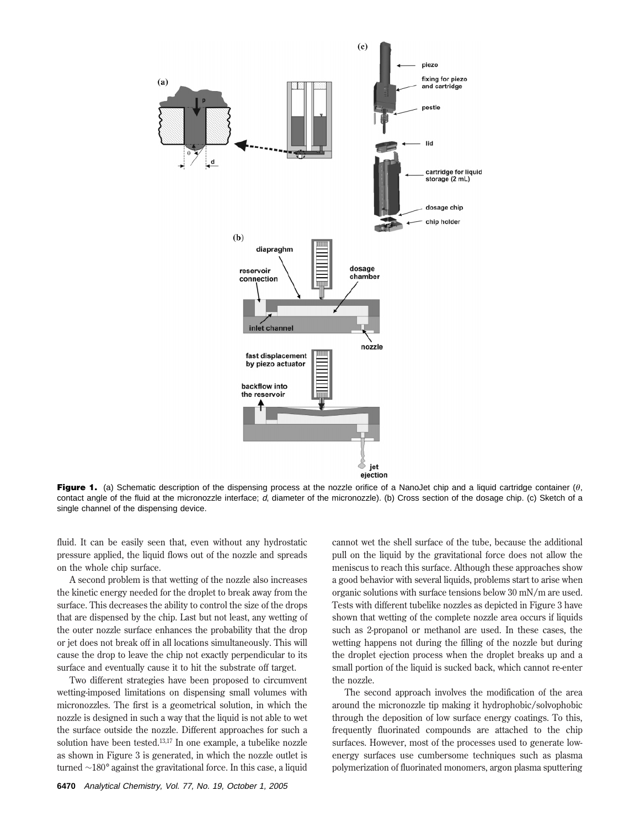

**Figure 1.** (a) Schematic description of the dispensing process at the nozzle orifice of a NanoJet chip and a liquid cartridge container (*θ*, contact angle of the fluid at the micronozzle interface; d, diameter of the micronozzle). (b) Cross section of the dosage chip. (c) Sketch of a single channel of the dispensing device.

fluid. It can be easily seen that, even without any hydrostatic pressure applied, the liquid flows out of the nozzle and spreads on the whole chip surface.

A second problem is that wetting of the nozzle also increases the kinetic energy needed for the droplet to break away from the surface. This decreases the ability to control the size of the drops that are dispensed by the chip. Last but not least, any wetting of the outer nozzle surface enhances the probability that the drop or jet does not break off in all locations simultaneously. This will cause the drop to leave the chip not exactly perpendicular to its surface and eventually cause it to hit the substrate off target.

Two different strategies have been proposed to circumvent wetting-imposed limitations on dispensing small volumes with micronozzles. The first is a geometrical solution, in which the nozzle is designed in such a way that the liquid is not able to wet the surface outside the nozzle. Different approaches for such a solution have been tested.<sup>13,17</sup> In one example, a tubelike nozzle as shown in Figure 3 is generated, in which the nozzle outlet is turned ∼180° against the gravitational force. In this case, a liquid

**6470** Analytical Chemistry, Vol. 77, No. 19, October 1, 2005

cannot wet the shell surface of the tube, because the additional pull on the liquid by the gravitational force does not allow the meniscus to reach this surface. Although these approaches show a good behavior with several liquids, problems start to arise when organic solutions with surface tensions below 30 mN/m are used. Tests with different tubelike nozzles as depicted in Figure 3 have shown that wetting of the complete nozzle area occurs if liquids such as 2-propanol or methanol are used. In these cases, the wetting happens not during the filling of the nozzle but during the droplet ejection process when the droplet breaks up and a small portion of the liquid is sucked back, which cannot re-enter the nozzle.

The second approach involves the modification of the area around the micronozzle tip making it hydrophobic/solvophobic through the deposition of low surface energy coatings. To this, frequently fluorinated compounds are attached to the chip surfaces. However, most of the processes used to generate lowenergy surfaces use cumbersome techniques such as plasma polymerization of fluorinated monomers, argon plasma sputtering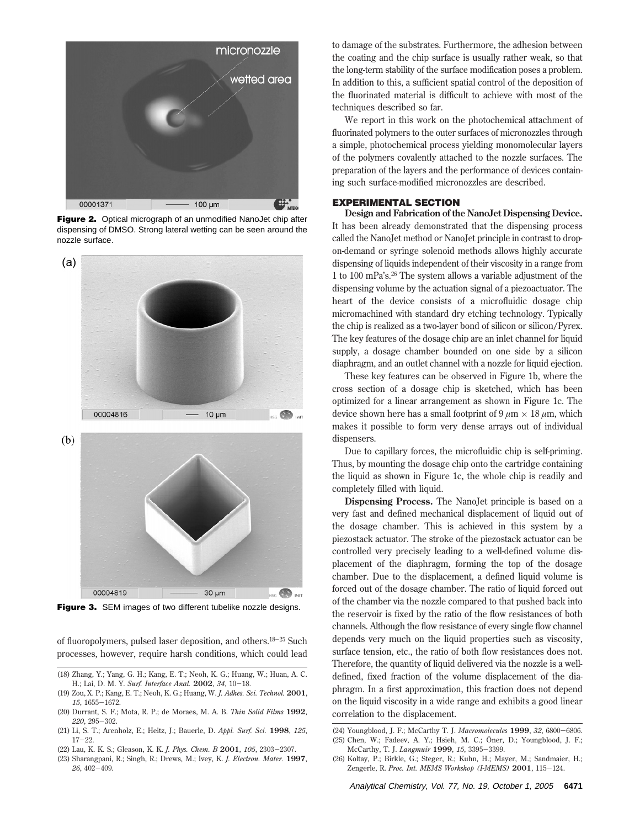

**Figure 2.** Optical micrograph of an unmodified NanoJet chip after dispensing of DMSO. Strong lateral wetting can be seen around the nozzle surface.



**Figure 3.** SEM images of two different tubelike nozzle designs.

of fluoropolymers, pulsed laser deposition, and others.18-<sup>25</sup> Such processes, however, require harsh conditions, which could lead

- (19) Zou, X. P.; Kang, E. T.; Neoh, K. G.; Huang, W. *J. Adhes. Sci. Technol.* **2001**, *<sup>15</sup>*, 1655-1672.
- (20) Durrant, S. F.; Mota, R. P.; de Moraes, M. A. B. *Thin Solid Films* **1992**, *<sup>220</sup>*, 295-302.
- (21) Li, S. T.; Arenholz, E.; Heitz, J.; Bauerle, D. *Appl. Surf. Sci.* **1998**, *125*,  $17 - 22.$ <br>Len K
- (22) Lau, K. K. S.; Gleason, K. K. *J. Phys. Chem. B* **<sup>2001</sup>**, *<sup>105</sup>*, 2303-2307.
- (23) Sharangpani, R.; Singh, R.; Drews, M.; Ivey, K. *J. Electron. Mater.* **1997**, *<sup>26</sup>*, 402-409.

to damage of the substrates. Furthermore, the adhesion between the coating and the chip surface is usually rather weak, so that the long-term stability of the surface modification poses a problem. In addition to this, a sufficient spatial control of the deposition of the fluorinated material is difficult to achieve with most of the techniques described so far.

We report in this work on the photochemical attachment of fluorinated polymers to the outer surfaces of micronozzles through a simple, photochemical process yielding monomolecular layers of the polymers covalently attached to the nozzle surfaces. The preparation of the layers and the performance of devices containing such surface-modified micronozzles are described.

#### **EXPERIMENTAL SECTION**

**Design and Fabrication of the NanoJet Dispensing Device.** It has been already demonstrated that the dispensing process called the NanoJet method or NanoJet principle in contrast to dropon-demand or syringe solenoid methods allows highly accurate dispensing of liquids independent of their viscosity in a range from 1 to 100 mPa's.26 The system allows a variable adjustment of the dispensing volume by the actuation signal of a piezoactuator. The heart of the device consists of a microfluidic dosage chip micromachined with standard dry etching technology. Typically the chip is realized as a two-layer bond of silicon or silicon/Pyrex. The key features of the dosage chip are an inlet channel for liquid supply, a dosage chamber bounded on one side by a silicon diaphragm, and an outlet channel with a nozzle for liquid ejection.

These key features can be observed in Figure 1b, where the cross section of a dosage chip is sketched, which has been optimized for a linear arrangement as shown in Figure 1c. The device shown here has a small footprint of  $9 \mu m \times 18 \mu m$ , which makes it possible to form very dense arrays out of individual dispensers.

Due to capillary forces, the microfluidic chip is self-priming. Thus, by mounting the dosage chip onto the cartridge containing the liquid as shown in Figure 1c, the whole chip is readily and completely filled with liquid.

**Dispensing Process.** The NanoJet principle is based on a very fast and defined mechanical displacement of liquid out of the dosage chamber. This is achieved in this system by a piezostack actuator. The stroke of the piezostack actuator can be controlled very precisely leading to a well-defined volume displacement of the diaphragm, forming the top of the dosage chamber. Due to the displacement, a defined liquid volume is forced out of the dosage chamber. The ratio of liquid forced out of the chamber via the nozzle compared to that pushed back into the reservoir is fixed by the ratio of the flow resistances of both channels. Although the flow resistance of every single flow channel depends very much on the liquid properties such as viscosity, surface tension, etc., the ratio of both flow resistances does not. Therefore, the quantity of liquid delivered via the nozzle is a welldefined, fixed fraction of the volume displacement of the diaphragm. In a first approximation, this fraction does not depend on the liquid viscosity in a wide range and exhibits a good linear correlation to the displacement.

- (24) Youngblood, J. F.; McCarthy T. J. *Macromolecules* **<sup>1999</sup>**, *<sup>32</sup>*, 6800-6806. (25) Chen, W.; Fadeev, A. Y.; Hsieh, M. C.; Öner, D.; Youngblood, J. F.;
- McCarthy, T. J. *Langmuir* **<sup>1999</sup>**, *<sup>15</sup>*, 3395-3399. (26) Koltay, P.; Birkle, G.; Steger, R.; Kuhn, H.; Mayer, M.; Sandmaier, H.;
- Zengerle, R. *Proc. Int. MEMS Workshop (I-MEMS)* **<sup>2001</sup>**, 115-124.

<sup>(18)</sup> Zhang, Y.; Yang, G. H.; Kang, E. T.; Neoh, K. G.; Huang, W.; Huan, A. C. H.; Lai, D. M. Y. *Surf. Interface Anal.* **<sup>2002</sup>**, *<sup>34</sup>*, 10-18.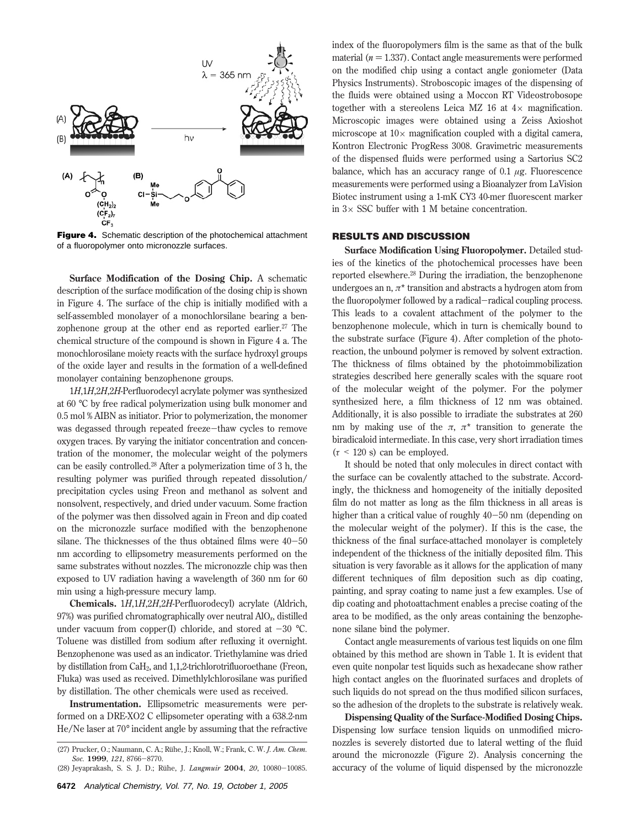

**Figure 4.** Schematic description of the photochemical attachment of a fluoropolymer onto micronozzle surfaces.

**Surface Modification of the Dosing Chip.** A schematic description of the surface modification of the dosing chip is shown in Figure 4. The surface of the chip is initially modified with a self-assembled monolayer of a monochlorsilane bearing a benzophenone group at the other end as reported earlier.<sup>27</sup> The chemical structure of the compound is shown in Figure 4 a. The monochlorosilane moiety reacts with the surface hydroxyl groups of the oxide layer and results in the formation of a well-defined monolayer containing benzophenone groups.

1*H*,1*H*,2*H*,2*H*-Perfluorodecyl acrylate polymer was synthesized at 60 °C by free radical polymerization using bulk monomer and 0.5 mol % AIBN as initiator. Prior to polymerization, the monomer was degassed through repeated freeze-thaw cycles to remove oxygen traces. By varying the initiator concentration and concentration of the monomer, the molecular weight of the polymers can be easily controlled.28 After a polymerization time of 3 h, the resulting polymer was purified through repeated dissolution/ precipitation cycles using Freon and methanol as solvent and nonsolvent, respectively, and dried under vacuum. Some fraction of the polymer was then dissolved again in Freon and dip coated on the micronozzle surface modified with the benzophenone silane. The thicknesses of the thus obtained films were 40-<sup>50</sup> nm according to ellipsometry measurements performed on the same substrates without nozzles. The micronozzle chip was then exposed to UV radiation having a wavelength of 360 nm for 60 min using a high-pressure mecury lamp.

**Chemicals.** 1*H*,1*H*,2*H*,2*H*-Perfluorodecyl) acrylate (Aldrich, 97%) was purified chromatographically over neutral AlO*x*, distilled under vacuum from copper(I) chloride, and stored at  $-30$  °C. Toluene was distilled from sodium after refluxing it overnight. Benzophenone was used as an indicator. Triethylamine was dried by distillation from CaH2, and 1,1,2-trichlorotrifluoroethane (Freon, Fluka) was used as received. Dimethlylchlorosilane was purified by distillation. The other chemicals were used as received.

**Instrumentation.** Ellipsometric measurements were performed on a DRE-XO2 C ellipsometer operating with a 638.2-nm He/Ne laser at 70° incident angle by assuming that the refractive index of the fluoropolymers film is the same as that of the bulk material  $(n = 1.337)$ . Contact angle measurements were performed on the modified chip using a contact angle goniometer (Data Physics Instruments). Stroboscopic images of the dispensing of the fluids were obtained using a Moccon RT Videostrobosope together with a stereolens Leica MZ 16 at  $4\times$  magnification. Microscopic images were obtained using a Zeiss Axioshot microscope at  $10\times$  magnification coupled with a digital camera, Kontron Electronic ProgRess 3008. Gravimetric measurements of the dispensed fluids were performed using a Sartorius SC2 balance, which has an accuracy range of 0.1 *µ*g. Fluorescence measurements were performed using a Bioanalyzer from LaVision Biotec instrument using a 1-mK CY3 40-mer fluorescent marker in  $3 \times$  SSC buffer with 1 M betaine concentration.

#### **RESULTS AND DISCUSSION**

**Surface Modification Using Fluoropolymer.** Detailed studies of the kinetics of the photochemical processes have been reported elsewhere.28 During the irradiation, the benzophenone undergoes an  $n, \pi^*$  transition and abstracts a hydrogen atom from the fluoropolymer followed by a radical-radical coupling process. This leads to a covalent attachment of the polymer to the benzophenone molecule, which in turn is chemically bound to the substrate surface (Figure 4). After completion of the photoreaction, the unbound polymer is removed by solvent extraction. The thickness of films obtained by the photoimmobilization strategies described here generally scales with the square root of the molecular weight of the polymer. For the polymer synthesized here, a film thickness of 12 nm was obtained. Additionally, it is also possible to irradiate the substrates at 260 nm by making use of the  $\pi$ ,  $\pi^*$  transition to generate the biradicaloid intermediate. In this case, very short irradiation times  $(\tau \leq 120 \text{ s})$  can be employed.

It should be noted that only molecules in direct contact with the surface can be covalently attached to the substrate. Accordingly, the thickness and homogeneity of the initially deposited film do not matter as long as the film thickness in all areas is higher than a critical value of roughly  $40-50$  nm (depending on the molecular weight of the polymer). If this is the case, the thickness of the final surface-attached monolayer is completely independent of the thickness of the initially deposited film. This situation is very favorable as it allows for the application of many different techniques of film deposition such as dip coating, painting, and spray coating to name just a few examples. Use of dip coating and photoattachment enables a precise coating of the area to be modified, as the only areas containing the benzophenone silane bind the polymer.

Contact angle measurements of various test liquids on one film obtained by this method are shown in Table 1. It is evident that even quite nonpolar test liquids such as hexadecane show rather high contact angles on the fluorinated surfaces and droplets of such liquids do not spread on the thus modified silicon surfaces, so the adhesion of the droplets to the substrate is relatively weak.

**Dispensing Quality of the Surface-Modified Dosing Chips.** Dispensing low surface tension liquids on unmodified micronozzles is severely distorted due to lateral wetting of the fluid around the micronozzle (Figure 2). Analysis concerning the accuracy of the volume of liquid dispensed by the micronozzle

<sup>(27)</sup> Prucker, O.; Naumann, C. A.; Rühe, J.; Knoll, W.; Frank, C. W. *J. Am. Chem. Soc.* **<sup>1999</sup>**, *<sup>121</sup>*, 8766-8770.

<sup>(28)</sup> Jeyaprakash, S. S. J. D.; Rühe, J. *Langmuir* 2004, 20, 10080-10085.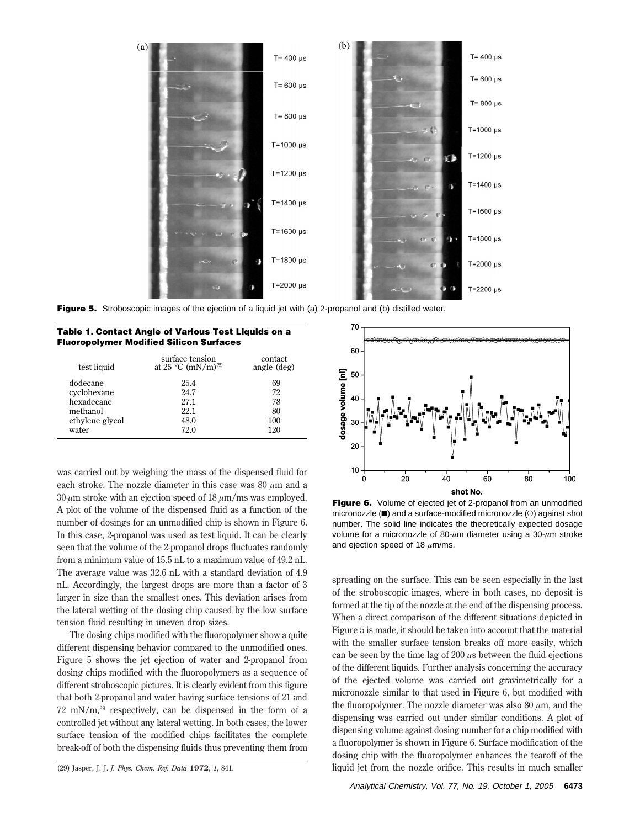

Figure 5. Stroboscopic images of the ejection of a liquid jet with (a) 2-propanol and (b) distilled water.

#### **Table 1. Contact Angle of Various Test Liquids on a Fluoropolymer Modified Silicon Surfaces**

| test liquid     | surface tension<br>at 25 °C (mN/m) <sup>29</sup> | contact.<br>angle (deg) |
|-----------------|--------------------------------------------------|-------------------------|
| dodecane        | 25.4                                             | 69                      |
| cyclohexane     | 24.7                                             | 72                      |
| hexadecane      | 27.1                                             | 78                      |
| methanol        | 22.1                                             | 80                      |
| ethylene glycol | 48.0                                             | 100                     |
| water           | 72.0                                             | 120                     |

was carried out by weighing the mass of the dispensed fluid for each stroke. The nozzle diameter in this case was 80 *µ*m and a 30-*µ*m stroke with an ejection speed of 18 *µ*m/ms was employed. A plot of the volume of the dispensed fluid as a function of the number of dosings for an unmodified chip is shown in Figure 6. In this case, 2-propanol was used as test liquid. It can be clearly seen that the volume of the 2-propanol drops fluctuates randomly from a minimum value of 15.5 nL to a maximum value of 49.2 nL. The average value was 32.6 nL with a standard deviation of 4.9 nL. Accordingly, the largest drops are more than a factor of 3 larger in size than the smallest ones. This deviation arises from the lateral wetting of the dosing chip caused by the low surface tension fluid resulting in uneven drop sizes.

The dosing chips modified with the fluoropolymer show a quite different dispensing behavior compared to the unmodified ones. Figure 5 shows the jet ejection of water and 2-propanol from dosing chips modified with the fluoropolymers as a sequence of different stroboscopic pictures. It is clearly evident from this figure that both 2-propanol and water having surface tensions of 21 and 72 mN/m,29 respectively, can be dispensed in the form of a controlled jet without any lateral wetting. In both cases, the lower surface tension of the modified chips facilitates the complete break-off of both the dispensing fluids thus preventing them from



**Figure 6.** Volume of ejected jet of 2-propanol from an unmodified micronozzle ( $\blacksquare$ ) and a surface-modified micronozzle ( $\bigcirc$ ) against shot number. The solid line indicates the theoretically expected dosage volume for a micronozzle of 80-*µ*m diameter using a 30-*µ*m stroke and ejection speed of 18 *µ*m/ms.

spreading on the surface. This can be seen especially in the last of the stroboscopic images, where in both cases, no deposit is formed at the tip of the nozzle at the end of the dispensing process. When a direct comparison of the different situations depicted in Figure 5 is made, it should be taken into account that the material with the smaller surface tension breaks off more easily, which can be seen by the time lag of  $200 \mu s$  between the fluid ejections of the different liquids. Further analysis concerning the accuracy of the ejected volume was carried out gravimetrically for a micronozzle similar to that used in Figure 6, but modified with the fluoropolymer. The nozzle diameter was also 80 *µ*m, and the dispensing was carried out under similar conditions. A plot of dispensing volume against dosing number for a chip modified with a fluoropolymer is shown in Figure 6. Surface modification of the dosing chip with the fluoropolymer enhances the tearoff of the (29) Jasper, J. J. *J. Phys. Chem. Ref. Data* **1972**, *1*, 841. liquid jet from the nozzle orifice. This results in much smaller